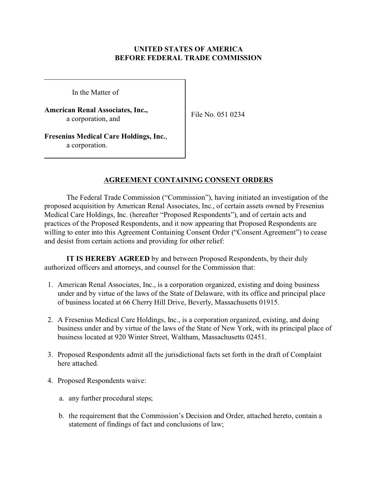# **UNITED STATES OF AMERICA BEFORE FEDERAL TRADE COMMISSION**

In the Matter of

**American Renal Associates, Inc.,**  a corporation, and

File No. 051 0234

**Fresenius Medical Care Holdings, Inc.**, a corporation.

# **AGREEMENT CONTAINING CONSENT ORDERS**

The Federal Trade Commission ("Commission"), having initiated an investigation of the proposed acquisition by American Renal Associates, Inc., of certain assets owned by Fresenius Medical Care Holdings, Inc. (hereafter "Proposed Respondents"), and of certain acts and practices of the Proposed Respondents, and it now appearing that Proposed Respondents are willing to enter into this Agreement Containing Consent Order ("Consent Agreement") to cease and desist from certain actions and providing for other relief:

**IT IS HEREBY AGREED** by and between Proposed Respondents, by their duly authorized officers and attorneys, and counsel for the Commission that:

- 1. American Renal Associates, Inc., is a corporation organized, existing and doing business under and by virtue of the laws of the State of Delaware, with its office and principal place of business located at 66 Cherry Hill Drive, Beverly, Massachusetts 01915.
- 2. A Fresenius Medical Care Holdings, Inc., is a corporation organized, existing, and doing business under and by virtue of the laws of the State of New York, with its principal place of business located at 920 Winter Street, Waltham, Massachusetts 02451.
- 3. Proposed Respondents admit all the jurisdictional facts set forth in the draft of Complaint here attached.
- 4. Proposed Respondents waive:
	- a. any further procedural steps;
	- b. the requirement that the Commission's Decision and Order, attached hereto, contain a statement of findings of fact and conclusions of law;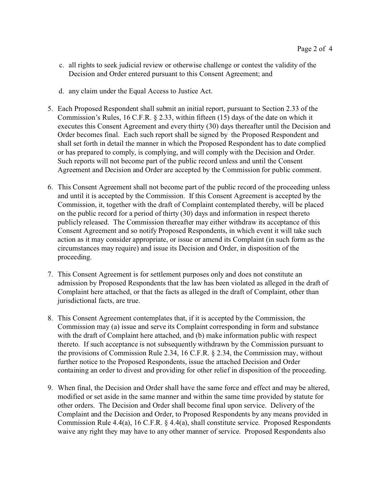- c. all rights to seek judicial review or otherwise challenge or contest the validity of the Decision and Order entered pursuant to this Consent Agreement; and
- d. any claim under the Equal Access to Justice Act.
- 5. Each Proposed Respondent shall submit an initial report, pursuant to Section 2.33 of the Commission's Rules, 16 C.F.R. § 2.33, within fifteen (15) days of the date on which it executes this Consent Agreement and every thirty (30) days thereafter until the Decision and Order becomes final. Each such report shall be signed by the Proposed Respondent and shall set forth in detail the manner in which the Proposed Respondent has to date complied or has prepared to comply, is complying, and will comply with the Decision and Order. Such reports will not become part of the public record unless and until the Consent Agreement and Decision and Order are accepted by the Commission for public comment.
- 6. This Consent Agreement shall not become part of the public record of the proceeding unless and until it is accepted by the Commission. If this Consent Agreement is accepted by the Commission, it, together with the draft of Complaint contemplated thereby, will be placed on the public record for a period of thirty (30) days and information in respect thereto publicly released. The Commission thereafter may either withdraw its acceptance of this Consent Agreement and so notify Proposed Respondents, in which event it will take such action as it may consider appropriate, or issue or amend its Complaint (in such form as the circumstances may require) and issue its Decision and Order, in disposition of the proceeding.
- 7. This Consent Agreement is for settlement purposes only and does not constitute an admission by Proposed Respondents that the law has been violated as alleged in the draft of Complaint here attached, or that the facts as alleged in the draft of Complaint, other than jurisdictional facts, are true.
- 8. This Consent Agreement contemplates that, if it is accepted by the Commission, the Commission may (a) issue and serve its Complaint corresponding in form and substance with the draft of Complaint here attached, and (b) make information public with respect thereto. If such acceptance is not subsequently withdrawn by the Commission pursuant to the provisions of Commission Rule 2.34, 16 C.F.R. § 2.34, the Commission may, without further notice to the Proposed Respondents, issue the attached Decision and Order containing an order to divest and providing for other relief in disposition of the proceeding.
- 9. When final, the Decision and Order shall have the same force and effect and may be altered, modified or set aside in the same manner and within the same time provided by statute for other orders. The Decision and Order shall become final upon service. Delivery of the Complaint and the Decision and Order, to Proposed Respondents by any means provided in Commission Rule 4.4(a), 16 C.F.R. § 4.4(a), shall constitute service. Proposed Respondents waive any right they may have to any other manner of service. Proposed Respondents also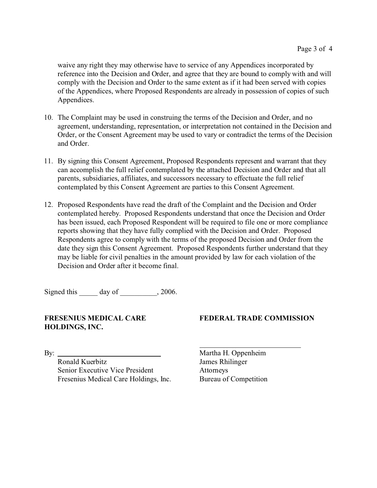waive any right they may otherwise have to service of any Appendices incorporated by reference into the Decision and Order, and agree that they are bound to comply with and will comply with the Decision and Order to the same extent as if it had been served with copies of the Appendices, where Proposed Respondents are already in possession of copies of such Appendices.

- 10. The Complaint may be used in construing the terms of the Decision and Order, and no agreement, understanding, representation, or interpretation not contained in the Decision and Order, or the Consent Agreement may be used to vary or contradict the terms of the Decision and Order.
- 11. By signing this Consent Agreement, Proposed Respondents represent and warrant that they can accomplish the full relief contemplated by the attached Decision and Order and that all parents, subsidiaries, affiliates, and successors necessary to effectuate the full relief contemplated by this Consent Agreement are parties to this Consent Agreement.
- 12. Proposed Respondents have read the draft of the Complaint and the Decision and Order contemplated hereby. Proposed Respondents understand that once the Decision and Order has been issued, each Proposed Respondent will be required to file one or more compliance reports showing that they have fully complied with the Decision and Order. Proposed Respondents agree to comply with the terms of the proposed Decision and Order from the date they sign this Consent Agreement. Proposed Respondents further understand that they may be liable for civil penalties in the amount provided by law for each violation of the Decision and Order after it become final.

Signed this day of 3006.

#### **FRESENIUS MEDICAL CARE HOLDINGS, INC.**

#### **FEDERAL TRADE COMMISSION**

 $\mathbf{B}$ y:  $\qquad \qquad$ 

Ronald Kuerbitz Senior Executive Vice President Fresenius Medical Care Holdings, Inc.

Martha H. Oppenheim James Rhilinger Attorneys Bureau of Competition